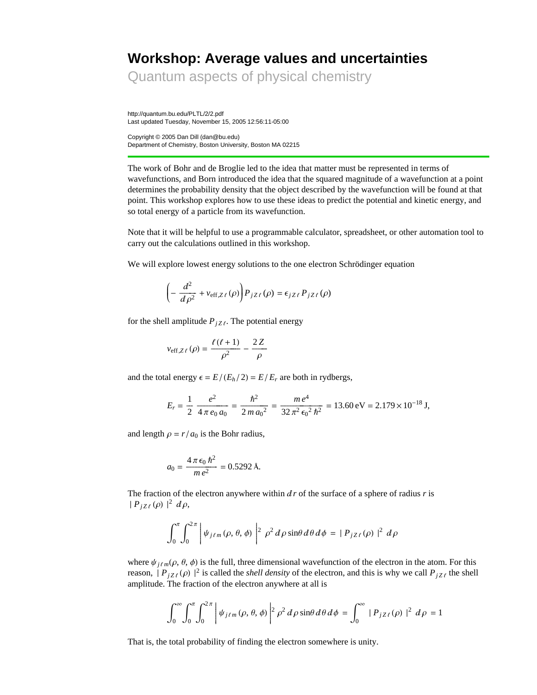# **Workshop: Average values and uncertainties**

Quantum aspects of physical chemistry

http://quantum.bu.edu/PLTL/2/2.pdf Last updated Tuesday, November 15, 2005 12:56:11-05:00

Copyright © 2005 Dan Dill (dan@bu.edu) Department of Chemistry, Boston University, Boston MA 02215

The work of Bohr and de Broglie led to the idea that matter must be represented in terms of wavefunctions, and Born introduced the idea that the squared magnitude of a wavefunction at a point determines the probability density that the object described by the wavefunction will be found at that point. This workshop explores how to use these ideas to predict the potential and kinetic energy, and so total energy of a particle from its wavefunction.

Note that it will be helpful to use a programmable calculator, spreadsheet, or other automation tool to carry out the calculations outlined in this workshop.

We will explore lowest energy solutions to the one electron Schrödinger equation

$$
\left(-\frac{d^2}{d\rho^2} + v_{\text{eff},Z\ell}(\rho)\right) P_{jZ\ell}(\rho) = \epsilon_{jZ\ell} P_{jZ\ell}(\rho)
$$

for the shell amplitude  $P_{jZ\ell}$ . The potential energy

$$
v_{\text{eff},Z\ell}(\rho) = \frac{\ell(\ell+1)}{\rho^2} - \frac{2Z}{\rho}
$$

and the total energy  $\epsilon = E/(E_h/2) = E/E_r$  are both in rydbergs,

$$
E_r = \frac{1}{2} \frac{e^2}{4 \pi e_0 a_0} = \frac{\hbar^2}{2 m a_0^2} = \frac{me^4}{32 \pi^2 \epsilon_0^2 \hbar^2} = 13.60 \,\text{eV} = 2.179 \times 10^{-18} \,\text{J},
$$

and length  $\rho = r/a_0$  is the Bohr radius,

$$
a_0 = \frac{4\,\pi\,\epsilon_0\,\hbar^2}{m\,e^2} = 0.5292\,\text{\AA}.
$$

The fraction of the electron anywhere within  $dr$  of the surface of a sphere of radius  $r$  is  $|P_{jZ\ell}(\rho)|^2 d\rho,$ 

$$
\int_0^{\pi} \int_0^{2\pi} \left| \psi_{j\ell m}(\rho, \theta, \phi) \right|^2 \rho^2 d\rho \sin\theta d\theta d\phi = |P_{jZ\ell}(\rho)|^2 d\rho
$$

where  $\psi_{j\ell m}(\rho, \theta, \phi)$  is the full, three dimensional wavefunction of the electron in the atom. For this reason,  $|P_{jZ\ell}(\rho)|^2$  is called the *shell density* of the electron, and this is why we call  $P_{jZ\ell}$  the shell amplitude. The fraction of the electron anywhere at all is

$$
\int_0^{\infty} \int_0^{\pi} \int_0^{2\pi} \left| \psi_{j\ell m}(\rho, \theta, \phi) \right|^2 \rho^2 d\rho \sin\theta d\theta d\phi = \int_0^{\infty} |P_{jZ\ell}(\rho)|^2 d\rho = 1
$$

That is, the total probability of finding the electron somewhere is unity.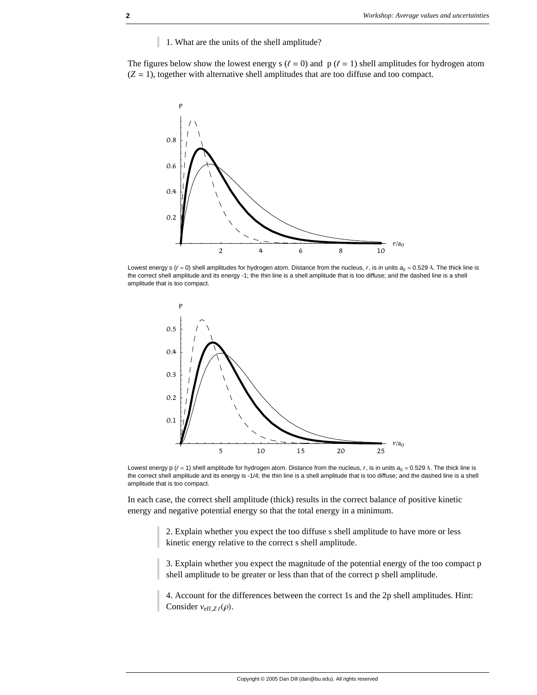1. What are the units of the shell amplitude?

The figures below show the lowest energy s ( $\ell = 0$ ) and p ( $\ell = 1$ ) shell amplitudes for hydrogen atom  $(Z = 1)$ , together with alternative shell amplitudes that are too diffuse and too compact.



Lowest energy s ( $\ell = 0$ ) shell amplitudes for hydrogen atom. Distance from the nucleus, r, is in units  $a_0 = 0.529$  Å. The thick line is the correct shell amplitude and its energy -1; the thin line is a shell amplitude that is too diffuse; and the dashed line is a shell amplitude that is too compact.



Lowest energy p  $(\ell = 1)$  shell amplitude for hydrogen atom. Distance from the nucleus,  $r$ , is in units  $a_0 = 0.529$  Å. The thick line is the correct shell amplitude and its energy is -1/4; the thin line is a shell amplitude that is too diffuse; and the dashed line is a shell amplitude that is too compact.

In each case, the correct shell amplitude (thick) results in the correct balance of positive kinetic energy and negative potential energy so that the total energy in a minimum.

> 2. Explain whether you expect the too diffuse s shell amplitude to have more or less kinetic energy relative to the correct s shell amplitude.

3. Explain whether you expect the magnitude of the potential energy of the too compact p shell amplitude to be greater or less than that of the correct p shell amplitude.

4. Account for the differences between the correct 1s and the 2p shell amplitudes. Hint: Consider  $v_{\text{eff},Z\ell}(\rho)$ .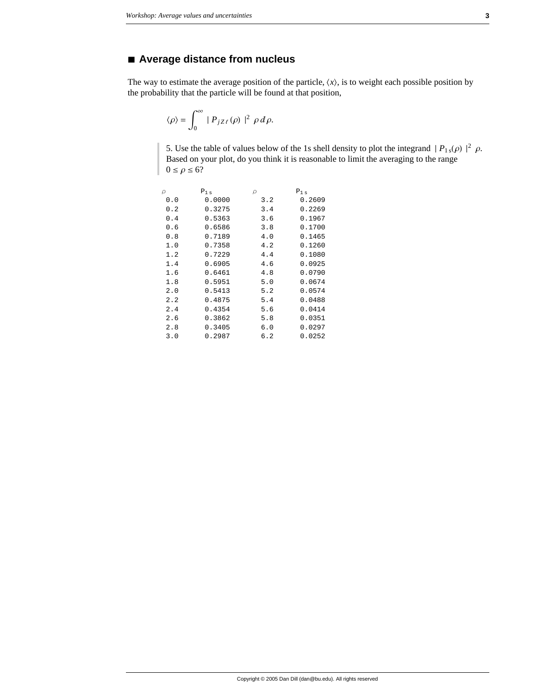## **à Average distance from nucleus**

The way to estimate the average position of the particle,  $\langle x \rangle$ , is to weight each possible position by the probability that the particle will be found at that position,

$$
\langle \rho \rangle = \int_0^\infty \mid P_{jZ\ell}(\rho) \mid^2 \rho d\rho.
$$

5. Use the table of values below of the 1s shell density to plot the integrand  $|P_{1s}(\rho)|^2 \rho$ . Based on your plot, do you think it is reasonable to limit the averaging to the range  $0 \leq \rho \leq 6?$ 

| ρ   | $P_{1s}$ | ρ   | $P_{1s}$ |
|-----|----------|-----|----------|
| 0.0 | 0.0000   | 3.2 | 0.2609   |
| 0.2 | 0.3275   | 3.4 | 0.2269   |
| 0.4 | 0.5363   | 3.6 | 0.1967   |
| 0.6 | 0.6586   | 3.8 | 0.1700   |
| 0.8 | 0.7189   | 4.0 | 0.1465   |
| 1.0 | 0.7358   | 4.2 | 0.1260   |
| 1.2 | 0.7229   | 4.4 | 0.1080   |
| 1.4 | 0.6905   | 4.6 | 0.0925   |
| 1.6 | 0.6461   | 4.8 | 0.0790   |
| 1.8 | 0.5951   | 5.0 | 0.0674   |
| 2.0 | 0.5413   | 5.2 | 0.0574   |
| 2.2 | 0.4875   | 5.4 | 0.0488   |
| 2.4 | 0.4354   | 5.6 | 0.0414   |
| 2.6 | 0.3862   | 5.8 | 0.0351   |
| 2.8 | 0.3405   | 6.0 | 0.0297   |
| 3.0 | 0.2987   | 6.2 | 0.0252   |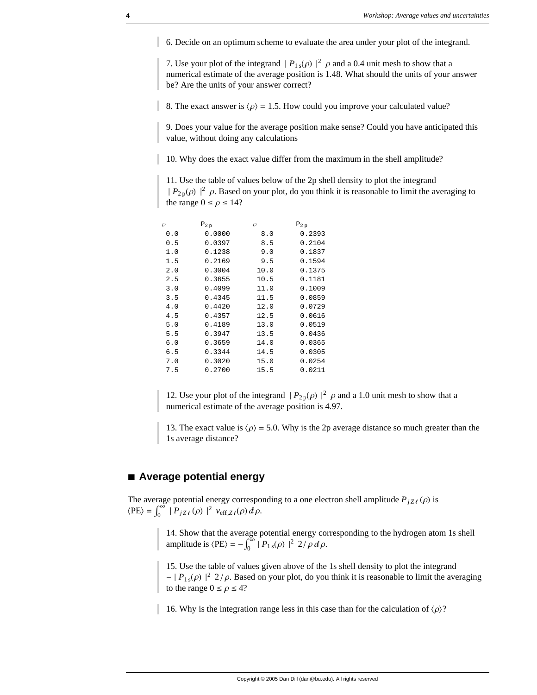6. Decide on an optimum scheme to evaluate the area under your plot of the integrand.

7. Use your plot of the integrand  $|P_{1s}(\rho)|^2$   $\rho$  and a 0.4 unit mesh to show that a numerical estimate of the average position is 1.48. What should the units of your answer be? Are the units of your answer correct?

8. The exact answer is  $\langle \rho \rangle = 1.5$ . How could you improve your calculated value?

9. Does your value for the average position make sense? Could you have anticipated this value, without doing any calculations

10. Why does the exact value differ from the maximum in the shell amplitude?

11. Use the table of values below of the 2p shell density to plot the integrand  $|P_{2p}(\rho)|^2$   $\rho$ . Based on your plot, do you think it is reasonable to limit the averaging to the range  $0 \le \rho \le 14$ ?

| ρ   | $P_{2,p}$ | ρ    | $P_{2p}$ |
|-----|-----------|------|----------|
| 0.0 | 0.0000    | 8.0  | 0.2393   |
| 0.5 | 0.0397    | 8.5  | 0.2104   |
| 1.0 | 0.1238    | 9.0  | 0.1837   |
| 1.5 | 0.2169    | 9.5  | 0.1594   |
| 2.0 | 0.3004    | 10.0 | 0.1375   |
| 2.5 | 0.3655    | 10.5 | 0.1181   |
| 3.0 | 0.4099    | 11.0 | 0.1009   |
| 3.5 | 0.4345    | 11.5 | 0.0859   |
| 4.0 | 0.4420    | 12.0 | 0.0729   |
| 4.5 | 0.4357    | 12.5 | 0.0616   |
| 5.0 | 0.4189    | 13.0 | 0.0519   |
| 5.5 | 0.3947    | 13.5 | 0.0436   |
| 6.0 | 0.3659    | 14.0 | 0.0365   |
| 6.5 | 0.3344    | 14.5 | 0.0305   |
| 7.0 | 0.3020    | 15.0 | 0.0254   |
| 7.5 | 0.2700    | 15.5 | 0.0211   |
|     |           |      |          |

12. Use your plot of the integrand  $|P_{2p}(\rho)|^2$   $\rho$  and a 1.0 unit mesh to show that a numerical estimate of the average position is 4.97.

13. The exact value is  $\langle \rho \rangle = 5.0$ . Why is the 2p average distance so much greater than the 1s average distance?

#### **à Average potential energy**

The average potential energy corresponding to a one electron shell amplitude  $P_{jZ\ell}(\rho)$  is  $\langle PE \rangle = \int_0^\infty |P_{jZ\ell}(\rho)|^2 v_{eff,Z\ell}(\rho) d\rho.$ 

> 14. Show that the average potential energy corresponding to the hydrogen atom 1s shell amplitude is  $\langle PE \rangle = -\int_0^\infty |P_{1s}(\rho)|^2 2/\rho d\rho$ .

15. Use the table of values given above of the 1s shell density to plot the integrand  $- |P_{1s}(\rho)|^2$  2/ $\rho$ . Based on your plot, do you think it is reasonable to limit the averaging to the range  $0 \le \rho \le 4$ ?

16. Why is the integration range less in this case than for the calculation of  $\langle \rho \rangle$ ?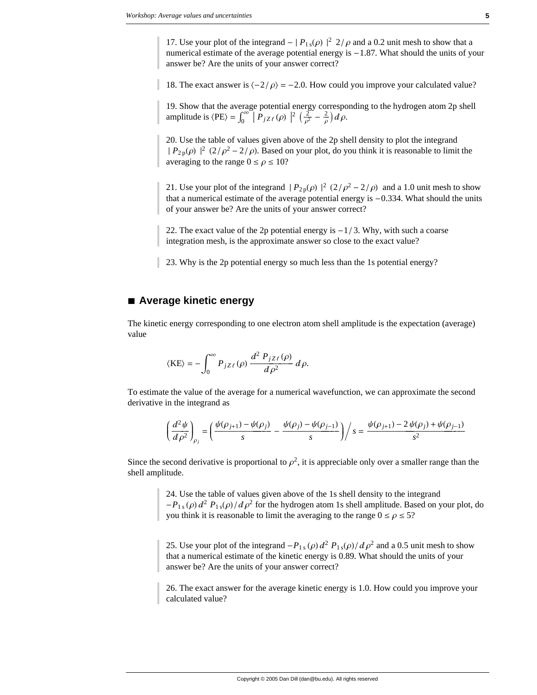17. Use your plot of the integrand  $- |P_{1s}(\rho)|^2 2/\rho$  and a 0.2 unit mesh to show that a numerical estimate of the average potential energy is  $-1.87$ . What should the units of your answer be? Are the units of your answer correct?

18. The exact answer is  $\langle -2/\rho \rangle = -2.0$ . How could you improve your calculated value?

19. Show that the average potential energy corresponding to the hydrogen atom 2p shell amplitude is  $\langle PE \rangle = \int_0^\infty \left| P_{jZ\ell}(\rho) \right|^2 \left( \frac{2}{\rho^2} - \frac{2}{\rho} \right) d\rho$ .

20. Use the table of values given above of the 2p shell density to plot the integrand  $|P_{2p}(\rho)|^2 (2/\rho^2 - 2/\rho)$ . Based on your plot, do you think it is reasonable to limit the averaging to the range  $0 \le \rho \le 10$ ?

21. Use your plot of the integrand  $|P_{2p}(\rho)|^2 (2/\rho^2 - 2/\rho)$  and a 1.0 unit mesh to show that a numerical estimate of the average potential energy is  $-0.334$ . What should the units of your answer be? Are the units of your answer correct?

22. The exact value of the 2p potential energy is  $-1/3$ . Why, with such a coarse integration mesh, is the approximate answer so close to the exact value?

23. Why is the 2p potential energy so much less than the 1s potential energy?

#### **à Average kinetic energy**

The kinetic energy corresponding to one electron atom shell amplitude is the expectation (average) value

$$
\langle \text{KE} \rangle = -\int_0^\infty P_{jZ\ell}(\rho) \, \frac{d^2 \, P_{jZ\ell}(\rho)}{d\rho^2} \, d\rho.
$$

To estimate the value of the average for a numerical wavefunction, we can approximate the second derivative in the integrand as

$$
\left(\frac{d^2\psi}{d\rho^2}\right)_{\rho_j} = \left(\frac{\psi(\rho_{j+1}) - \psi(\rho_j)}{s} - \frac{\psi(\rho_j) - \psi(\rho_{j-1})}{s}\right)\bigg/ s = \frac{\psi(\rho_{j+1}) - 2\psi(\rho_j) + \psi(\rho_{j-1})}{s^2}
$$

Since the second derivative is proportional to  $\rho^2$ , it is appreciable only over a smaller range than the shell amplitude.

> 24. Use the table of values given above of the 1s shell density to the integrand  $-P_{1s}(\rho) d^2 P_{1s}(\rho) / d \rho^2$  for the hydrogen atom 1s shell amplitude. Based on your plot, do you think it is reasonable to limit the averaging to the range  $0 \le \rho \le 5$ ?

25. Use your plot of the integrand  $-P_{1s}(\rho) d^2 P_{1s}(\rho) / d \rho^2$  and a 0.5 unit mesh to show that a numerical estimate of the kinetic energy is 0.89. What should the units of your answer be? Are the units of your answer correct?

26. The exact answer for the average kinetic energy is 1.0. How could you improve your calculated value?